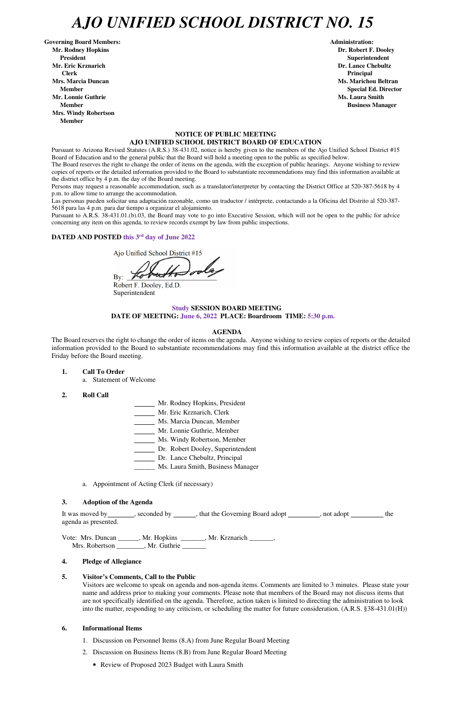## *AJO UNIFIED SCHOOL DISTRICT NO. 15*

Governing Board Members: **Administration: Administration: Administration: Mr. Rodney Hopkins Dr. Robert F. Dooley President Superintendent in the set of the set of the set of the set of the set of the Superintendent Superintendent Mr. Eric Krznarich Dr. Lance Chebultz Clerk Principal Mrs. Marcia Duncan Ms. Marichou Beltran Aristotelli, and Ms. Marichou Beltran** *Ms. Marichou Beltran* **Ms. Marichou Beltran <b>Ms. Marichou Beltran Mr. Lonnie Guthrie Ms. Laura Smith And All And All And All And All And All And All And All And All And All And All And All And All And All And All And All And All And All And All And All And All And All And All And All A Member Business Manager Business Manager Business Manager Mrs. Windy Robertson Member** 

#### **NOTICE OF PUBLIC MEETING AJO UNIFIED SCHOOL DISTRICT BOARD OF EDUCATION**

Pursuant to Arizona Revised Statutes (A.R.S.) 38-431.02, notice is hereby given to the members of the Ajo Unified School District #15 Board of Education and to the general public that the Board will hold a meeting open to the public as specified below.

The Board reserves the right to change the order of items on the agenda, with the exception of public hearings. Anyone wishing to review copies of reports or the detailed information provided to the Board to substantiate recommendations may find this information available at the district office by 4 p.m. the day of the Board meeting.

Persons may request a reasonable accommodation, such as a translator/interpreter by contacting the District Office at 520-387-5618 by 4 p.m. to allow time to arrange the accommodation.

Las personas pueden solicitar una adaptación razonable, como un traductor / intérprete, contactando a la Oficina del Distrito al 520-387- 5618 para las 4 p.m. para dar tiempo a organizar el alojamiento.

It was moved by \_\_\_\_\_\_\_, seconded by \_\_\_\_\_\_, that the Governing Board adopt \_\_\_\_\_\_\_, not adopt \_\_\_\_\_\_\_\_ the agenda as presented.

Vote: Mrs. Duncan \_\_\_\_\_\_, Mr. Hopkins \_\_\_\_\_\_\_, Mr. Krznarich \_\_\_\_\_\_\_, Mrs. Robertson \_\_\_\_\_\_\_\_, Mr. Guthrie \_\_\_\_\_\_\_

Pursuant to A.R.S. 38-431.01.(b).03, the Board may vote to go into Executive Session, which will not be open to the public for advice concerning any item on this agenda, to review records exempt by law from public inspections.

### **DATED AND POSTED this 3rd day of June 2022**

- 1. Discussion on Personnel Items (8.A) from June Regular Board Meeting
- 2. Discussion on Business Items (8.B) from June Regular Board Meeting
	- Review of Proposed 2023 Budget with Laura Smith

Ajo Unified School District #15

By:  $\angle$ 

Robert F. Dooley, Ed.D. Superintendent

### **Study SESSION BOARD MEETING**

**DATE OF MEETING: June 6, 2022 PLACE: Boardroom TIME: 5:30 p.m.**

#### **AGENDA**

The Board reserves the right to change the order of items on the agenda. Anyone wishing to review copies of reports or the detailed information provided to the Board to substantiate recommendations may find this information available at the district office the Friday before the Board meeting.

**1. Call To Order** 

a. Statement of Welcome

- **2. Roll Call**
- Mr. Rodney Hopkins, President
- Mr. Eric Krznarich, Clerk
- Ms. Marcia Duncan, Member
- Mr. Lonnie Guthrie, Member
- Ms. Windy Robertson, Member
- Dr. Robert Dooley, Superintendent
- Dr. Lance Chebultz, Principal
- \_\_\_\_\_\_ Ms. Laura Smith, Business Manager
- a. Appointment of Acting Clerk (if necessary)

#### **3. Adoption of the Agenda**

**Member** Special Ed. Director **Special Ed. Director** 

#### **4. Pledge of Allegiance**

#### **5. Visitor's Comments, Call to the Public**

Visitors are welcome to speak on agenda and non-agenda items. Comments are limited to 3 minutes. Please state your name and address prior to making your comments. Please note that members of the Board may not discuss items that are not specifically identified on the agenda. Therefore, action taken is limited to directing the administration to look into the matter, responding to any criticism, or scheduling the matter for future consideration. (A.R.S. §38-431.01(H))

#### **6. Informational Items**